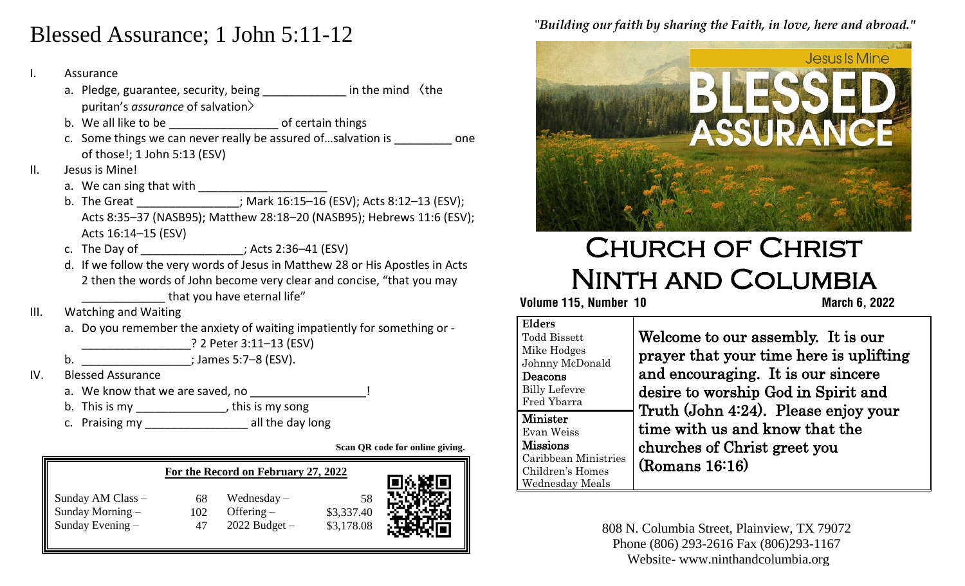## Blessed Assurance; 1 John 5:11-12

#### I. Assurance

- a. Pledge, guarantee, security, being \_\_\_\_\_\_\_\_\_\_\_\_\_\_ in the mind 〈the puritan's *assurance* of salvation>
- b. We all like to be \_\_\_\_\_\_\_\_\_\_\_\_\_\_\_\_\_\_\_\_\_\_\_\_\_ of certain things
	- c. Some things we can never really be assured of ... salvation is **can be comedy** one of those!; 1 John 5:13 (ESV)
- II. Jesus is Mine!
	- a. We can sing that with \_\_\_\_\_\_\_\_\_\_\_\_\_\_\_\_\_\_\_\_
	- b. The Great \_\_\_\_\_\_\_\_\_\_\_\_\_\_\_\_; Mark 16:15–16 (ESV); Acts 8:12–13 (ESV); Acts 8:35–37 (NASB95); Matthew 28:18–20 (NASB95); Hebrews 11:6 (ESV); Acts 16:14–15 (ESV)
	- c. The Day of  $\qquad \qquad ;$  Acts 2:36–41 (ESV)
	- d. If we follow the very words of Jesus in Matthew 28 or His Apostles in Acts 2 then the words of John become very clear and concise, "that you may that you have eternal life"
- III. Watching and Waiting
	- a. Do you remember the anxiety of waiting impatiently for something or -

\_\_\_\_\_\_\_\_\_\_\_\_\_\_\_\_\_? 2 Peter 3:11–13 (ESV)

b.  $\blacksquare$  ; James 5:7–8 (ESV).

- IV. Blessed Assurance
	- a. We know that we are saved, no
	- b. This is my \_\_\_\_\_\_\_\_\_\_\_\_\_\_\_, this is my song
	- c. Praising my \_\_\_\_\_\_\_\_\_\_\_\_\_\_\_\_ all the day long

**Scan QR code for online giving.**

|                                                               |           | For the Record on February 27, 2022                |                                | 76.SZR |
|---------------------------------------------------------------|-----------|----------------------------------------------------|--------------------------------|--------|
| Sunday AM Class -<br>Sunday Morning $-$<br>Sunday Evening $-$ | 68<br>102 | Wednesday $-$<br>Offering $-$<br>$2022$ Budget $-$ | 58<br>\$3,337.40<br>\$3,178.08 |        |

## "*Building our faith by sharing the Faith, in love, here and abroad."*



# Church of Christ Ninth and Columbia

 **Volume 115, Number 10 March 6, 2022**

| <b>Elders</b><br><b>Todd Bissett</b><br>Mike Hodges<br>Johnny McDonald<br>Deacons<br><b>Billy Lefevre</b><br>Fred Ybarra | Welcome to our assembly. It is our<br>prayer that your time here is uplifting<br>and encouraging. It is our sincere<br>desire to worship God in Spirit and |
|--------------------------------------------------------------------------------------------------------------------------|------------------------------------------------------------------------------------------------------------------------------------------------------------|
| Minister<br>Evan Weiss<br><b>Missions</b><br>Caribbean Ministries<br>Children's Homes<br>Wednesday Meals                 | Truth (John 4:24). Please enjoy your<br>time with us and know that the<br>churches of Christ greet you<br>(Romans 16:16)                                   |